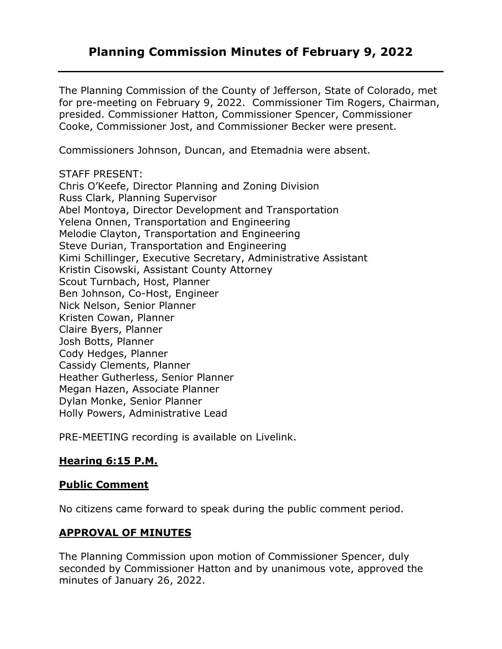# **Planning Commission Minutes of February 9, 2022**

The Planning Commission of the County of Jefferson, State of Colorado, met for pre-meeting on February 9, 2022. Commissioner Tim Rogers, Chairman, presided. Commissioner Hatton, Commissioner Spencer, Commissioner Cooke, Commissioner Jost, and Commissioner Becker were present.

Commissioners Johnson, Duncan, and Etemadnia were absent.

STAFF PRESENT:

Chris O'Keefe, Director Planning and Zoning Division Russ Clark, Planning Supervisor Abel Montoya, Director Development and Transportation Yelena Onnen, Transportation and Engineering Melodie Clayton, Transportation and Engineering Steve Durian, Transportation and Engineering Kimi Schillinger, Executive Secretary, Administrative Assistant Kristin Cisowski, Assistant County Attorney Scout Turnbach, Host, Planner Ben Johnson, Co-Host, Engineer Nick Nelson, Senior Planner Kristen Cowan, Planner Claire Byers, Planner Josh Botts, Planner Cody Hedges, Planner Cassidy Clements, Planner Heather Gutherless, Senior Planner Megan Hazen, Associate Planner Dylan Monke, Senior Planner Holly Powers, Administrative Lead

PRE-MEETING recording is available on Livelink.

## **Hearing 6:15 P.M.**

### **Public Comment**

No citizens came forward to speak during the public comment period.

## **APPROVAL OF MINUTES**

The Planning Commission upon motion of Commissioner Spencer, duly seconded by Commissioner Hatton and by unanimous vote, approved the minutes of January 26, 2022.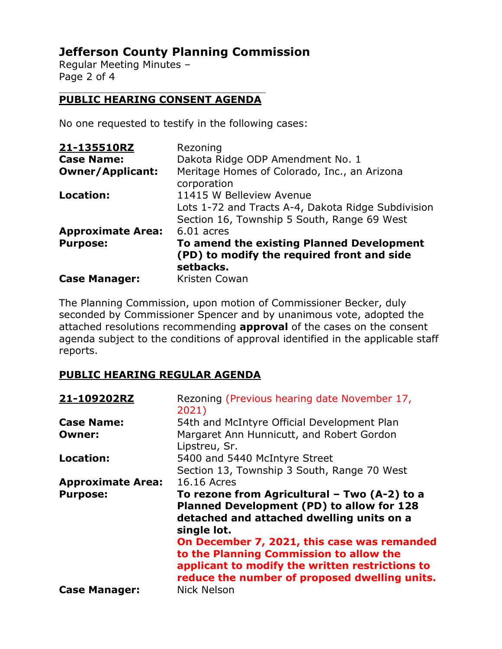# **Jefferson County Planning Commission**

Regular Meeting Minutes – Page 2 of 4

#### $\mathcal{L}_\mathcal{L}$  , which is a set of the set of the set of the set of the set of the set of the set of the set of the set of the set of the set of the set of the set of the set of the set of the set of the set of the set of **PUBLIC HEARING CONSENT AGENDA**

No one requested to testify in the following cases:

| 21-135510RZ              | Rezoning                                                                                             |
|--------------------------|------------------------------------------------------------------------------------------------------|
| <b>Case Name:</b>        | Dakota Ridge ODP Amendment No. 1                                                                     |
| <b>Owner/Applicant:</b>  | Meritage Homes of Colorado, Inc., an Arizona<br>corporation                                          |
| Location:                | 11415 W Belleview Avenue                                                                             |
|                          | Lots 1-72 and Tracts A-4, Dakota Ridge Subdivision                                                   |
|                          | Section 16, Township 5 South, Range 69 West                                                          |
| <b>Approximate Area:</b> | $6.01$ acres                                                                                         |
| <b>Purpose:</b>          | To amend the existing Planned Development<br>(PD) to modify the required front and side<br>setbacks. |
| <b>Case Manager:</b>     | Kristen Cowan                                                                                        |

The Planning Commission, upon motion of Commissioner Becker, duly seconded by Commissioner Spencer and by unanimous vote, adopted the attached resolutions recommending **approval** of the cases on the consent agenda subject to the conditions of approval identified in the applicable staff reports.

# **PUBLIC HEARING REGULAR AGENDA**

| 21-109202RZ              | Rezoning (Previous hearing date November 17,<br>2021)                                                                                                                                      |
|--------------------------|--------------------------------------------------------------------------------------------------------------------------------------------------------------------------------------------|
| <b>Case Name:</b>        | 54th and McIntyre Official Development Plan                                                                                                                                                |
| Owner:                   | Margaret Ann Hunnicutt, and Robert Gordon<br>Lipstreu, Sr.                                                                                                                                 |
| <b>Location:</b>         | 5400 and 5440 McIntyre Street                                                                                                                                                              |
|                          | Section 13, Township 3 South, Range 70 West                                                                                                                                                |
| <b>Approximate Area:</b> | 16.16 Acres                                                                                                                                                                                |
| <b>Purpose:</b>          | To rezone from Agricultural - Two (A-2) to a<br>Planned Development (PD) to allow for 128<br>detached and attached dwelling units on a<br>single lot.                                      |
|                          | On December 7, 2021, this case was remanded<br>to the Planning Commission to allow the<br>applicant to modify the written restrictions to<br>reduce the number of proposed dwelling units. |
| <b>Case Manager:</b>     | <b>Nick Nelson</b>                                                                                                                                                                         |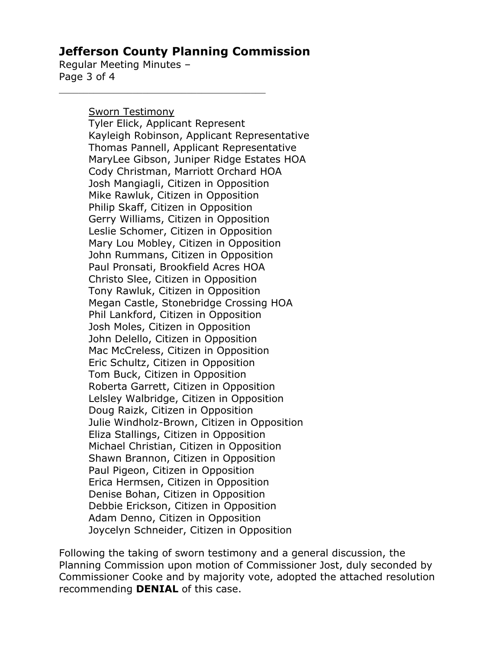# **Jefferson County Planning Commission**

Regular Meeting Minutes – Page 3 of 4

Sworn Testimony

Tyler Elick, Applicant Represent Kayleigh Robinson, Applicant Representative Thomas Pannell, Applicant Representative MaryLee Gibson, Juniper Ridge Estates HOA Cody Christman, Marriott Orchard HOA Josh Mangiagli, Citizen in Opposition Mike Rawluk, Citizen in Opposition Philip Skaff, Citizen in Opposition Gerry Williams, Citizen in Opposition Leslie Schomer, Citizen in Opposition Mary Lou Mobley, Citizen in Opposition John Rummans, Citizen in Opposition Paul Pronsati, Brookfield Acres HOA Christo Slee, Citizen in Opposition Tony Rawluk, Citizen in Opposition Megan Castle, Stonebridge Crossing HOA Phil Lankford, Citizen in Opposition Josh Moles, Citizen in Opposition John Delello, Citizen in Opposition Mac McCreless, Citizen in Opposition Eric Schultz, Citizen in Opposition Tom Buck, Citizen in Opposition Roberta Garrett, Citizen in Opposition Lelsley Walbridge, Citizen in Opposition Doug Raizk, Citizen in Opposition Julie Windholz-Brown, Citizen in Opposition Eliza Stallings, Citizen in Opposition Michael Christian, Citizen in Opposition Shawn Brannon, Citizen in Opposition Paul Pigeon, Citizen in Opposition Erica Hermsen, Citizen in Opposition Denise Bohan, Citizen in Opposition Debbie Erickson, Citizen in Opposition Adam Denno, Citizen in Opposition Joycelyn Schneider, Citizen in Opposition

Following the taking of sworn testimony and a general discussion, the Planning Commission upon motion of Commissioner Jost, duly seconded by Commissioner Cooke and by majority vote, adopted the attached resolution recommending **DENIAL** of this case.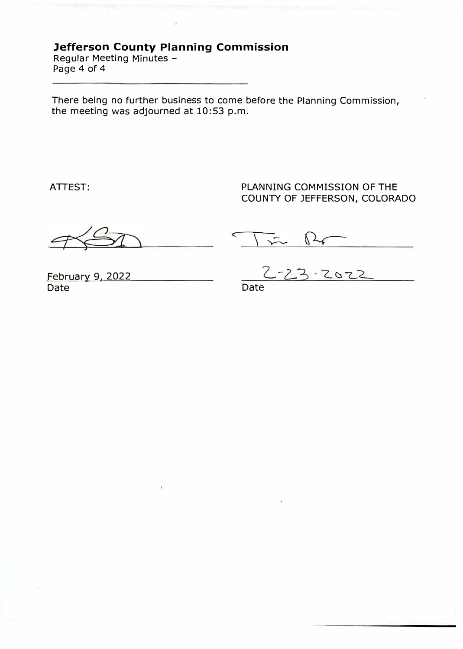# **Jefferson County Planning Commission**

Regular Meeting Minutes - Page 4 of 4

There being no further business to come before the Planning Commission, the meeting was adjourned at 10:53 p.m.

ATTEST:

PLANNING COMMISSION OF THE COUNTY OF JEFFERSON, COLORADO

 $\int \frac{1}{x}$ 

February 9, 2022 Date

 $3.2022$ 

Date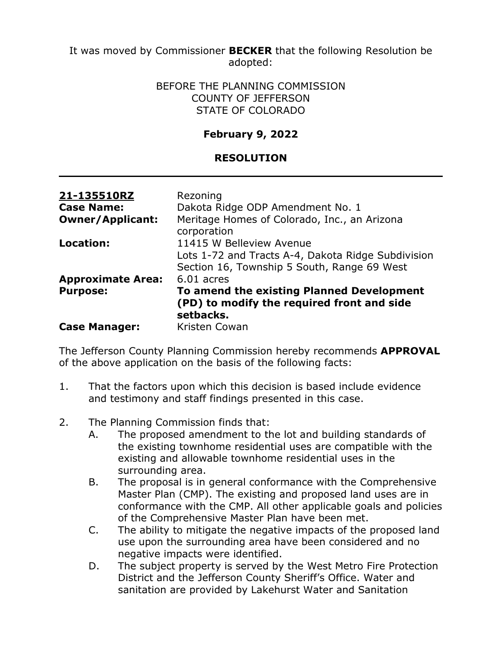It was moved by Commissioner **BECKER** that the following Resolution be adopted:

### BEFORE THE PLANNING COMMISSION COUNTY OF JEFFERSON STATE OF COLORADO

## **February 9, 2022**

### **RESOLUTION**

| 21-135510RZ              | Rezoning                                                                                             |
|--------------------------|------------------------------------------------------------------------------------------------------|
| <b>Case Name:</b>        | Dakota Ridge ODP Amendment No. 1                                                                     |
| <b>Owner/Applicant:</b>  | Meritage Homes of Colorado, Inc., an Arizona<br>corporation                                          |
| Location:                | 11415 W Belleview Avenue                                                                             |
|                          | Lots 1-72 and Tracts A-4, Dakota Ridge Subdivision<br>Section 16, Township 5 South, Range 69 West    |
| <b>Approximate Area:</b> | $6.01$ acres                                                                                         |
| <b>Purpose:</b>          | To amend the existing Planned Development<br>(PD) to modify the required front and side<br>setbacks. |
| <b>Case Manager:</b>     | Kristen Cowan                                                                                        |

The Jefferson County Planning Commission hereby recommends **APPROVAL** of the above application on the basis of the following facts:

- 1. That the factors upon which this decision is based include evidence and testimony and staff findings presented in this case.
- 2. The Planning Commission finds that:
	- A. The proposed amendment to the lot and building standards of the existing townhome residential uses are compatible with the existing and allowable townhome residential uses in the surrounding area.
	- B. The proposal is in general conformance with the Comprehensive Master Plan (CMP). The existing and proposed land uses are in conformance with the CMP. All other applicable goals and policies of the Comprehensive Master Plan have been met.
	- C. The ability to mitigate the negative impacts of the proposed land use upon the surrounding area have been considered and no negative impacts were identified.
	- D. The subject property is served by the West Metro Fire Protection District and the Jefferson County Sheriff's Office. Water and sanitation are provided by Lakehurst Water and Sanitation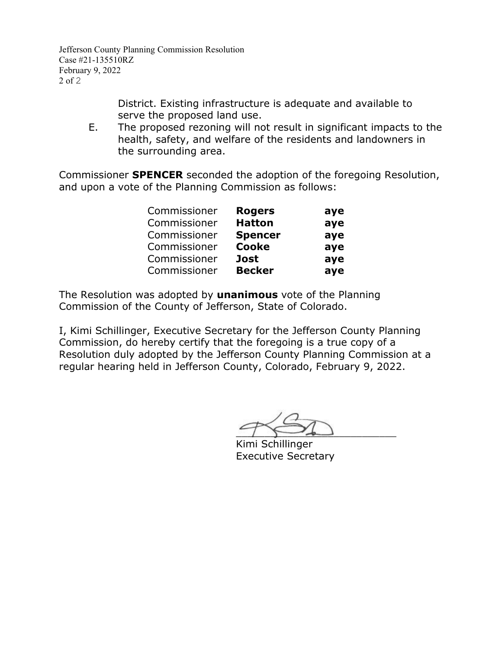Jefferson County Planning Commission Resolution Case #21-135510RZ February 9, 2022 2 of 2

> District. Existing infrastructure is adequate and available to serve the proposed land use.

E. The proposed rezoning will not result in significant impacts to the health, safety, and welfare of the residents and landowners in the surrounding area.

Commissioner **SPENCER** seconded the adoption of the foregoing Resolution, and upon a vote of the Planning Commission as follows:

| Commissioner | <b>Rogers</b>  | aye |
|--------------|----------------|-----|
| Commissioner | <b>Hatton</b>  | aye |
| Commissioner | <b>Spencer</b> | aye |
| Commissioner | <b>Cooke</b>   | aye |
| Commissioner | <b>Jost</b>    | aye |
| Commissioner | <b>Becker</b>  | aye |

The Resolution was adopted by **unanimous** vote of the Planning Commission of the County of Jefferson, State of Colorado.

I, Kimi Schillinger, Executive Secretary for the Jefferson County Planning Commission, do hereby certify that the foregoing is a true copy of a Resolution duly adopted by the Jefferson County Planning Commission at a regular hearing held in Jefferson County, Colorado, February 9, 2022.

 $\sim$ 

Kimi Schillinger Executive Secretary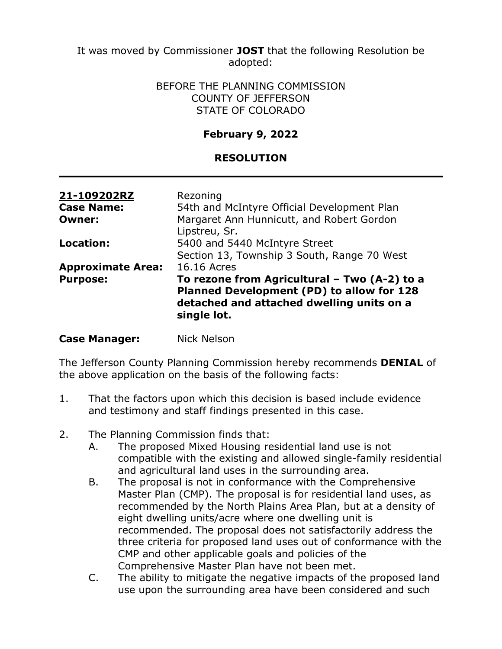It was moved by Commissioner **JOST** that the following Resolution be adopted:

### BEFORE THE PLANNING COMMISSION COUNTY OF JEFFERSON STATE OF COLORADO

## **February 9, 2022**

### **RESOLUTION**

| 21-109202RZ<br><b>Case Name:</b> | Rezoning<br>54th and McIntyre Official Development Plan                                                                                               |
|----------------------------------|-------------------------------------------------------------------------------------------------------------------------------------------------------|
| <b>Owner:</b>                    | Margaret Ann Hunnicutt, and Robert Gordon<br>Lipstreu, Sr.                                                                                            |
| Location:                        | 5400 and 5440 McIntyre Street<br>Section 13, Township 3 South, Range 70 West                                                                          |
| <b>Approximate Area:</b>         | 16.16 Acres                                                                                                                                           |
| <b>Purpose:</b>                  | To rezone from Agricultural - Two (A-2) to a<br>Planned Development (PD) to allow for 128<br>detached and attached dwelling units on a<br>single lot. |

### **Case Manager:** Nick Nelson

The Jefferson County Planning Commission hereby recommends **DENIAL** of the above application on the basis of the following facts:

- 1. That the factors upon which this decision is based include evidence and testimony and staff findings presented in this case.
- 2. The Planning Commission finds that:
	- A. The proposed Mixed Housing residential land use is not compatible with the existing and allowed single-family residential and agricultural land uses in the surrounding area.
	- B. The proposal is not in conformance with the Comprehensive Master Plan (CMP). The proposal is for residential land uses, as recommended by the North Plains Area Plan, but at a density of eight dwelling units/acre where one dwelling unit is recommended. The proposal does not satisfactorily address the three criteria for proposed land uses out of conformance with the CMP and other applicable goals and policies of the Comprehensive Master Plan have not been met.
	- C. The ability to mitigate the negative impacts of the proposed land use upon the surrounding area have been considered and such